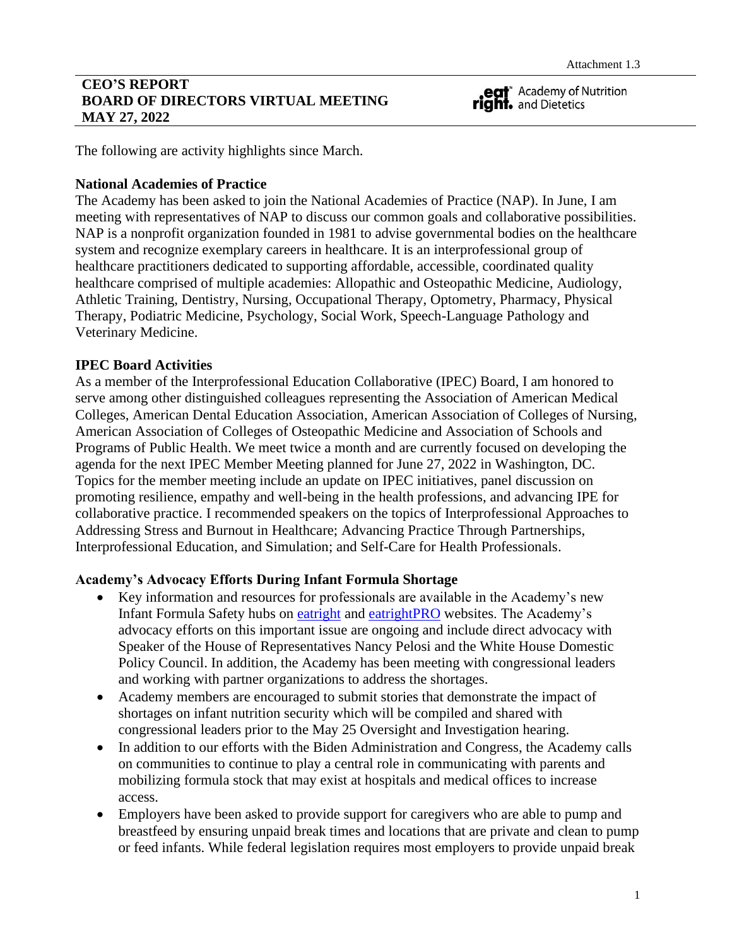## **CEO'S REPORT BOARD OF DIRECTORS VIRTUAL MEETING MAY 27, 2022**

eat<sup>\*</sup> Academy of Nutrition<br> **right.** and Dietetics

The following are activity highlights since March.

### **National Academies of Practice**

The Academy has been asked to join the National Academies of Practice (NAP). In June, I am meeting with representatives of NAP to discuss our common goals and collaborative possibilities. NAP is a nonprofit organization founded in 1981 to advise governmental bodies on the healthcare system and recognize exemplary careers in healthcare. It is an interprofessional group of healthcare practitioners dedicated to supporting affordable, accessible, coordinated quality healthcare comprised of multiple academies: Allopathic and Osteopathic Medicine, Audiology, Athletic Training, Dentistry, Nursing, Occupational Therapy, Optometry, Pharmacy, Physical Therapy, Podiatric Medicine, Psychology, Social Work, Speech-Language Pathology and Veterinary Medicine.

# **IPEC Board Activities**

As a member of the Interprofessional Education Collaborative (IPEC) Board, I am honored to serve among other distinguished colleagues representing the Association of American Medical Colleges, American Dental Education Association, American Association of Colleges of Nursing, American Association of Colleges of Osteopathic Medicine and Association of Schools and Programs of Public Health. We meet twice a month and are currently focused on developing the agenda for the next IPEC Member Meeting planned for June 27, 2022 in Washington, DC. Topics for the member meeting include an update on IPEC initiatives, panel discussion on promoting resilience, empathy and well-being in the health professions, and advancing IPE for collaborative practice. I recommended speakers on the topics of Interprofessional Approaches to Addressing Stress and Burnout in Healthcare; Advancing Practice Through Partnerships, Interprofessional Education, and Simulation; and Self-Care for Health Professionals.

### **Academy's Advocacy Efforts During Infant Formula Shortage**

- Key information and resources for professionals are available in the Academy's new Infant Formula Safety hubs on [eatright](https://www.eatright.org/homefoodsafety/safety-tips/food/infant-formula-safety-resources) and [eatrightPRO](https://www.eatrightpro.org/news-center/member-updates/from-our-leaders/infant-formula-supply-chain-information) websites. The Academy's advocacy efforts on this important issue are ongoing and include direct advocacy with Speaker of the House of Representatives Nancy Pelosi and the White House Domestic Policy Council. In addition, the Academy has been meeting with congressional leaders and working with partner organizations to address the shortages.
- Academy members are encouraged to submit stories that demonstrate the impact of shortages on infant nutrition security which will be compiled and shared with congressional leaders prior to the May 25 Oversight and Investigation hearing.
- In addition to our efforts with the Biden Administration and Congress, the Academy calls on communities to continue to play a central role in communicating with parents and mobilizing formula stock that may exist at hospitals and medical offices to increase access.
- Employers have been asked to provide support for caregivers who are able to pump and breastfeed by ensuring unpaid break times and locations that are private and clean to pump or feed infants. While federal legislation requires most employers to provide unpaid break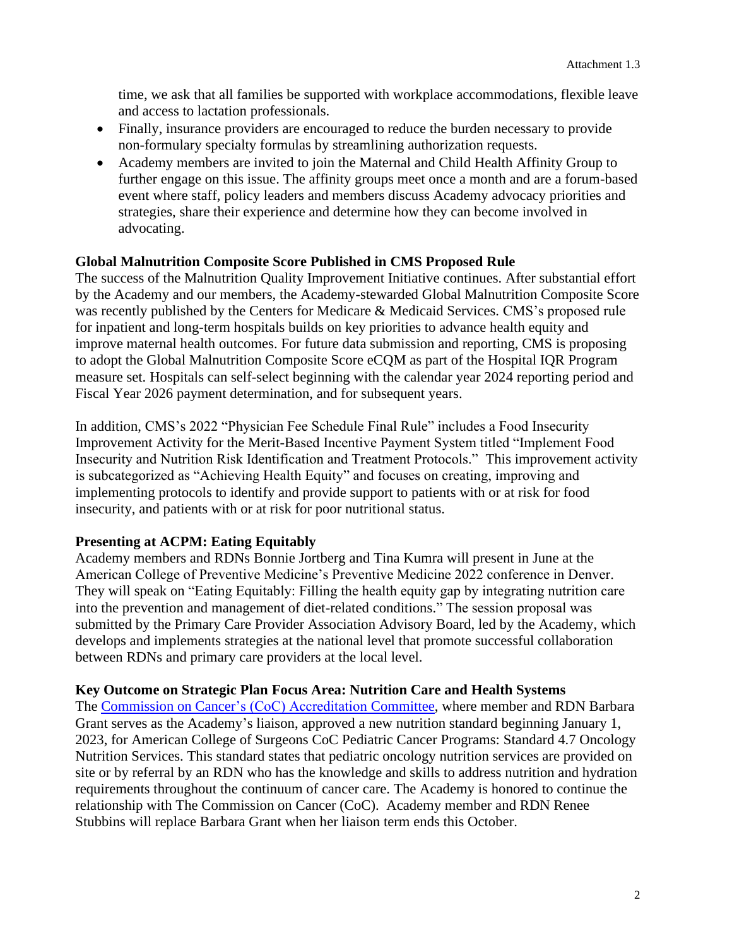time, we ask that all families be supported with workplace accommodations, flexible leave and access to lactation professionals.

- Finally, insurance providers are encouraged to reduce the burden necessary to provide non-formulary specialty formulas by streamlining authorization requests.
- Academy members are invited to join the Maternal and Child Health Affinity Group to further engage on this issue. The affinity groups meet once a month and are a forum-based event where staff, policy leaders and members discuss Academy advocacy priorities and strategies, share their experience and determine how they can become involved in advocating.

# **Global Malnutrition Composite Score Published in CMS Proposed Rule**

The success of the Malnutrition Quality Improvement Initiative continues. After substantial effort by the Academy and our members, the Academy-stewarded Global Malnutrition Composite Score was recently published by the Centers for Medicare & Medicaid Services. CMS's proposed rule for inpatient and long-term hospitals builds on key priorities to advance health equity and improve maternal health outcomes. For future data submission and reporting, CMS is proposing to adopt the Global Malnutrition Composite Score eCQM as part of the Hospital IQR Program measure set. Hospitals can self-select beginning with the calendar year 2024 reporting period and Fiscal Year 2026 payment determination, and for subsequent years.

In addition, CMS's 2022 "Physician Fee Schedule Final Rule" includes a Food Insecurity Improvement Activity for the Merit-Based Incentive Payment System titled "Implement Food Insecurity and Nutrition Risk Identification and Treatment Protocols." This improvement activity is subcategorized as "Achieving Health Equity" and focuses on creating, improving and implementing protocols to identify and provide support to patients with or at risk for food insecurity, and patients with or at risk for poor nutritional status.

# **Presenting at ACPM: Eating Equitably**

Academy members and RDNs Bonnie Jortberg and Tina Kumra will present in June at the American College of Preventive Medicine's Preventive Medicine 2022 conference in Denver. They will speak on "Eating Equitably: Filling the health equity gap by integrating nutrition care into the prevention and management of diet-related conditions." The session proposal was submitted by the Primary Care Provider Association Advisory Board, led by the Academy, which develops and implements strategies at the national level that promote successful collaboration between RDNs and primary care providers at the local level.

### **Key Outcome on Strategic Plan Focus Area: Nutrition Care and Health Systems**

The [Commission on Cancer's \(CoC\) Accreditation](https://www.facs.org/about-acs/governance/acs-committees/393) Committee, where member and RDN Barbara Grant serves as the Academy's liaison, approved a new nutrition standard beginning January 1, 2023, for American College of Surgeons CoC Pediatric Cancer Programs: Standard 4.7 Oncology Nutrition Services. This standard states that pediatric oncology nutrition services are provided on site or by referral by an RDN who has the knowledge and skills to address nutrition and hydration requirements throughout the continuum of cancer care. The Academy is honored to continue the relationship with The Commission on Cancer (CoC). Academy member and RDN Renee Stubbins will replace Barbara Grant when her liaison term ends this October.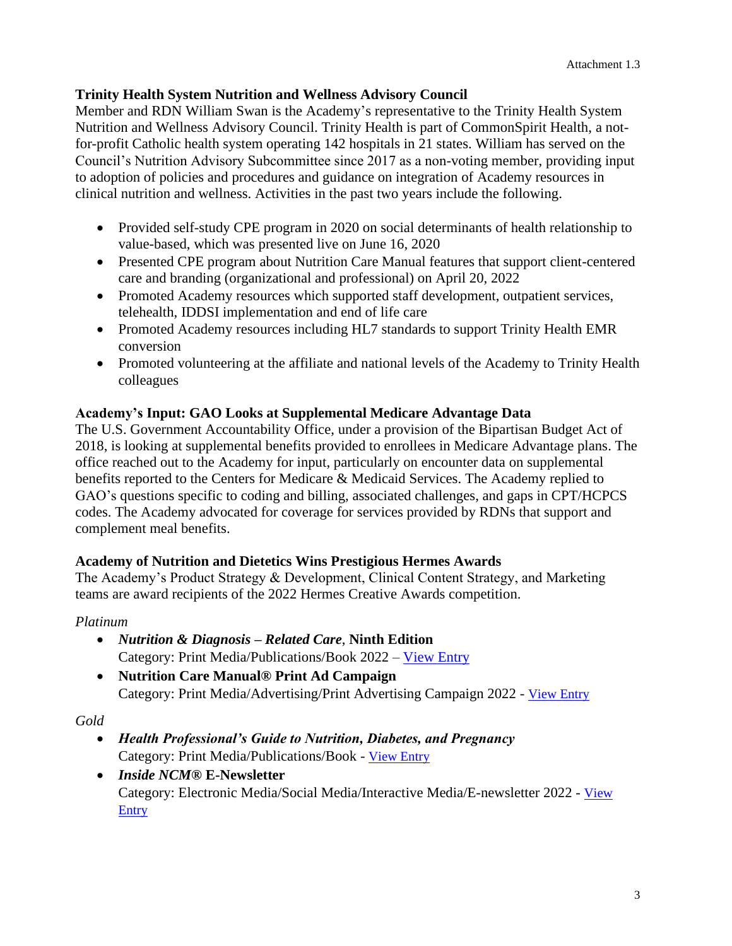## **Trinity Health System Nutrition and Wellness Advisory Council**

Member and RDN William Swan is the Academy's representative to the Trinity Health System Nutrition and Wellness Advisory Council. Trinity Health is part of CommonSpirit Health, a notfor-profit Catholic health system operating 142 hospitals in 21 states. William has served on the Council's Nutrition Advisory Subcommittee since 2017 as a non-voting member, providing input to adoption of policies and procedures and guidance on integration of Academy resources in clinical nutrition and wellness. Activities in the past two years include the following.

- Provided self-study CPE program in 2020 on social determinants of health relationship to value-based, which was presented live on June 16, 2020
- Presented CPE program about Nutrition Care Manual features that support client-centered care and branding (organizational and professional) on April 20, 2022
- Promoted Academy resources which supported staff development, outpatient services, telehealth, IDDSI implementation and end of life care
- Promoted Academy resources including HL7 standards to support Trinity Health EMR conversion
- Promoted volunteering at the affiliate and national levels of the Academy to Trinity Health colleagues

# **Academy's Input: GAO Looks at Supplemental Medicare Advantage Data**

The U.S. Government Accountability Office, under a provision of the Bipartisan Budget Act of 2018, is looking at supplemental benefits provided to enrollees in Medicare Advantage plans. The office reached out to the Academy for input, particularly on encounter data on supplemental benefits reported to the Centers for Medicare & Medicaid Services. The Academy replied to GAO's questions specific to coding and billing, associated challenges, and gaps in CPT/HCPCS codes. The Academy advocated for coverage for services provided by RDNs that support and complement meal benefits.

### **Academy of Nutrition and Dietetics Wins Prestigious Hermes Awards**

The Academy's Product Strategy & Development, Clinical Content Strategy, [and](https://www.eatrightstore.org/product-type/books/nutrition-diagnosis-related-care) Marketing teams are award recipients of the 2022 Hermes Creative Awards competition.

### *Platinum*

- *Nutrition & Diagnosis – Related Care*, **Ninth Edition** Category: Print Media/Publications/Book 2022 – [View Entry](https://www.eatrightstore.org/product-type/books/nutrition-diagnosis-related-care)
- **Nutrition Care Manual® Print Ad Campaign** Category: Print Media/Advertising/Print Advertising Campaign 2022 - [View Entry](https://d7a3216312da6f8c5faa-a6c4a22c6d23d8694e5e3f94c3d57dde.ssl.cf2.rackcdn.com/1e3f6cc78fce4c53a7c74de60b15f86b_NCM-Journal-Ads-v6.pdf)

# *Gold*

- *Health Professional's Guide to Nutrition, Diabetes, and Pregnancy* Category: Print Media/Publications/Book - [View Entry](https://www.eatrightstore.org/product-type/books/health-professionals-guide-to-nutrition-diabetes-and-pregnancy)
- *Inside NCM***® E-Newsletter**  Category: Electronic Media/Social Media/Interactive Media/E-newsletter 2022 - [View](https://d7a3216312da6f8c5faa-a6c4a22c6d23d8694e5e3f94c3d57dde.ssl.cf2.rackcdn.com/4dfe4583007e4b68af39dbcce9a6eea5_Winter2022NewInsideNCMRedesignedClientEdChoosetheRightClientEdFinal.pdf)  [Entry](https://d7a3216312da6f8c5faa-a6c4a22c6d23d8694e5e3f94c3d57dde.ssl.cf2.rackcdn.com/4dfe4583007e4b68af39dbcce9a6eea5_Winter2022NewInsideNCMRedesignedClientEdChoosetheRightClientEdFinal.pdf)